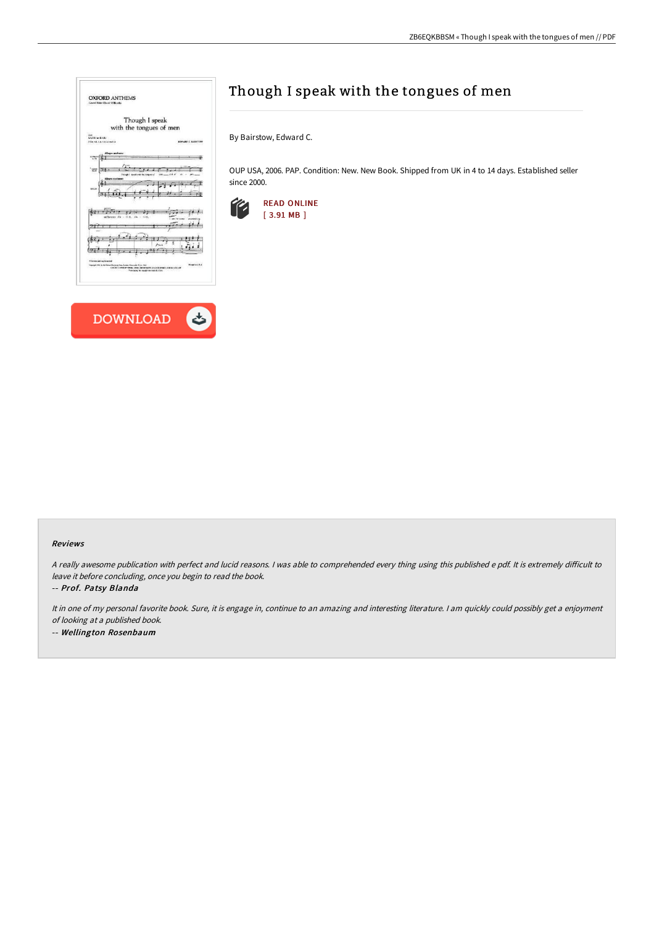| <b>OXFORD ANTHEMS</b><br>Goural Eaker David Wilkocks                                                                                                                        |                                                          |
|-----------------------------------------------------------------------------------------------------------------------------------------------------------------------------|----------------------------------------------------------|
| Though I speak                                                                                                                                                              |                                                          |
| with the tongues of men                                                                                                                                                     |                                                          |
| 5.41<br>SA7J let \$3.83<br><b>COX All 64 PA Line File</b>                                                                                                                   | EDWARD C. BASISTON                                       |
| re moderato<br>6.79                                                                                                                                                         |                                                          |
| <b>Vital</b><br>Things I<br>ai de                                                                                                                                           |                                                          |
| gro moderner<br><b>EXICAN</b>                                                                                                                                               |                                                          |
| h I                                                                                                                                                                         |                                                          |
|                                                                                                                                                                             |                                                          |
| Ally knowns our fraction<br><b>Copyright (70) By the Eleinal Showing Frees, Lordon Concruete U.S.A. That</b><br>CORDED SHARM PHONE MUNICIPALITY AND CONTROLL ASSOCIATED AND | <b>PEGGE WILLE</b><br>President for month annual station |
|                                                                                                                                                                             |                                                          |
|                                                                                                                                                                             |                                                          |



# Though I speak with the tongues of men

By Bairstow, Edward C.

OUP USA, 2006. PAP. Condition: New. New Book. Shipped from UK in 4 to 14 days. Established seller since 2000.



#### Reviews

A really awesome publication with perfect and lucid reasons. I was able to comprehended every thing using this published e pdf. It is extremely difficult to leave it before concluding, once you begin to read the book.

-- Prof. Patsy Blanda

It in one of my personal favorite book. Sure, it is engage in, continue to an amazing and interesting literature. <sup>I</sup> am quickly could possibly get <sup>a</sup> enjoyment of looking at <sup>a</sup> published book.

-- Wellington Rosenbaum